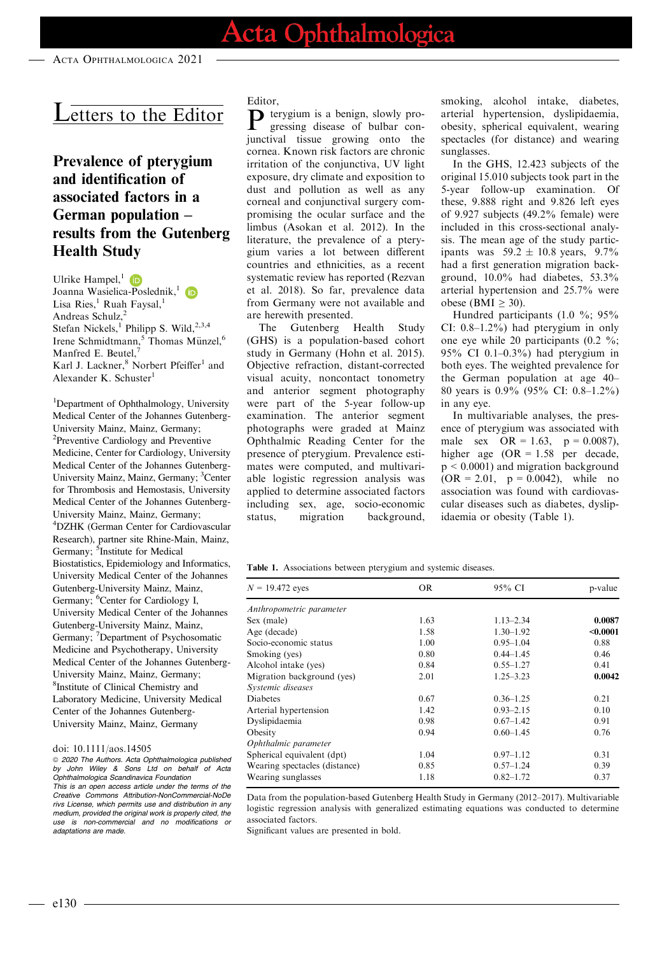ACTA OPHTHALMOLOGICA 2021

# Letters to the Editor

## Prevalence of pterygium and identification of associated factors in a German population – results from the Gutenberg Health Study

Ulrike Hampel, $\overline{1}$  (D Joanna Wasielica-Poslednik,<sup>[1](https://orcid.org/0000-0002-7025-8280)</sup> Lisa Ries,<sup>1</sup> Ruah Faysal,<sup>1</sup> Andreas Schulz,<sup>2</sup> Stefan Nickels,<sup>1</sup> Philipp S. Wild,<sup>2,3,4</sup> Irene Schmidtmann,<sup>5</sup> Thomas Münzel,<sup>6</sup> Manfred E. Beutel,<sup>7</sup> Karl J. Lackner,<sup>8</sup> Norbert Pfeiffer<sup>1</sup> and Alexander K. Schuster $<sup>1</sup>$ </sup>

<sup>1</sup>Department of Ophthalmology, University Medical Center of the Johannes Gutenberg-University Mainz, Mainz, Germany; <sup>2</sup>Preventive Cardiology and Preventive Medicine, Center for Cardiology, University Medical Center of the Johannes Gutenberg-University Mainz, Mainz, Germany; <sup>3</sup>Center for Thrombosis and Hemostasis, University Medical Center of the Johannes Gutenberg-University Mainz, Mainz, Germany; 4 DZHK (German Center for Cardiovascular Research), partner site Rhine-Main, Mainz, Germany; <sup>5</sup>Institute for Medical Biostatistics, Epidemiology and Informatics, University Medical Center of the Johannes Gutenberg-University Mainz, Mainz, Germany; <sup>6</sup>Center for Cardiology I, University Medical Center of the Johannes Gutenberg-University Mainz, Mainz, Germany; <sup>7</sup>Department of Psychosomatic Medicine and Psychotherapy, University Medical Center of the Johannes Gutenberg-University Mainz, Mainz, Germany; 8 Institute of Clinical Chemistry and Laboratory Medicine, University Medical Center of the Johannes Gutenberg-University Mainz, Mainz, Germany

#### doi: 10.1111/aos.14505

 $@$  2020 The Authors. Acta Ophthalmologica published by John Wiley & Sons Ltd on behalf of Acta Ophthalmologica Scandinavica Foundation This is an open access article under the terms of the [Creative Commons Attribution-NonCommercial-NoDe](http://creativecommons.org/licenses/by-nc-nd/4.0/) [rivs](http://creativecommons.org/licenses/by-nc-nd/4.0/) License, which permits use and distribution in any medium, provided the original work is properly cited, the use is non-commercial and no modifications or adaptations are made.

#### Editor,

P terygium is a benign, slowly progressing disease of bulbar conjunctival tissue growing onto the cornea. Known risk factors are chronic irritation of the conjunctiva, UV light exposure, dry climate and exposition to dust and pollution as well as any corneal and conjunctival surgery compromising the ocular surface and the limbus (Asokan et al. 2012). In the literature, the prevalence of a pterygium varies a lot between different countries and ethnicities, as a recent systematic review has reported (Rezvan et al. 2018). So far, prevalence data from Germany were not available and are herewith presented.

The Gutenberg Health Study (GHS) is a population-based cohort study in Germany (Hohn et al. 2015). Objective refraction, distant-corrected visual acuity, noncontact tonometry and anterior segment photography were part of the 5-year follow-up examination. The anterior segment photographs were graded at Mainz Ophthalmic Reading Center for the presence of pterygium. Prevalence estimates were computed, and multivariable logistic regression analysis was applied to determine associated factors including sex, age, socio-economic status, migration background,

smoking, alcohol intake, diabetes, arterial hypertension, dyslipidaemia, obesity, spherical equivalent, wearing spectacles (for distance) and wearing sunglasses.

In the GHS, 12.423 subjects of the original 15.010 subjects took part in the 5-year follow-up examination. Of these, 9.888 right and 9.826 left eyes of 9.927 subjects (49.2% female) were included in this cross-sectional analysis. The mean age of the study participants was  $59.2 \pm 10.8$  years,  $9.7\%$ had a first generation migration background, 10.0% had diabetes, 53.3% arterial hypertension and 25.7% were obese (BMI  $\geq$  30).

Hundred participants (1.0 %; 95% CI: 0.8–1.2%) had pterygium in only one eye while 20 participants (0.2 %; 95% CI 0.1–0.3%) had pterygium in both eyes. The weighted prevalence for the German population at age 40– 80 years is 0.9% (95% CI: 0.8–1.2%) in any eye.

In multivariable analyses, the presence of pterygium was associated with male sex  $OR = 1.63$ ,  $p = 0.0087$ ), higher age (OR = 1.58 per decade, p < 0.0001) and migration background  $(OR = 2.01, p = 0.0042)$ , while no association was found with cardiovascular diseases such as diabetes, dyslipidaemia or obesity (Table 1).

Table 1. Associations between pterygium and systemic diseases.

| $N = 19.472$ eyes             | <b>OR</b> | 95% CI        | p-value  |
|-------------------------------|-----------|---------------|----------|
| Anthropometric parameter      |           |               |          |
| Sex (male)                    | 1.63      | $1.13 - 2.34$ | 0.0087   |
| Age (decade)                  | 1.58      | $1.30 - 1.92$ | < 0.0001 |
| Socio-economic status         | 1.00      | $0.95 - 1.04$ | 0.88     |
| Smoking (yes)                 | 0.80      | $0.44 - 1.45$ | 0.46     |
| Alcohol intake (yes)          | 0.84      | $0.55 - 1.27$ | 0.41     |
| Migration background (yes)    | 2.01      | $1.25 - 3.23$ | 0.0042   |
| Systemic diseases             |           |               |          |
| <b>Diabetes</b>               | 0.67      | $0.36 - 1.25$ | 0.21     |
| Arterial hypertension         | 1.42      | $0.93 - 2.15$ | 0.10     |
| Dyslipidaemia                 | 0.98      | $0.67 - 1.42$ | 0.91     |
| Obesity                       | 0.94      | $0.60 - 1.45$ | 0.76     |
| Ophthalmic parameter          |           |               |          |
| Spherical equivalent (dpt)    | 1.04      | $0.97 - 1.12$ | 0.31     |
| Wearing spectacles (distance) | 0.85      | $0.57 - 1.24$ | 0.39     |
| Wearing sunglasses            | 1.18      | $0.82 - 1.72$ | 0.37     |

Data from the population-based Gutenberg Health Study in Germany (2012–2017). Multivariable logistic regression analysis with generalized estimating equations was conducted to determine associated factors.

Significant values are presented in bold.